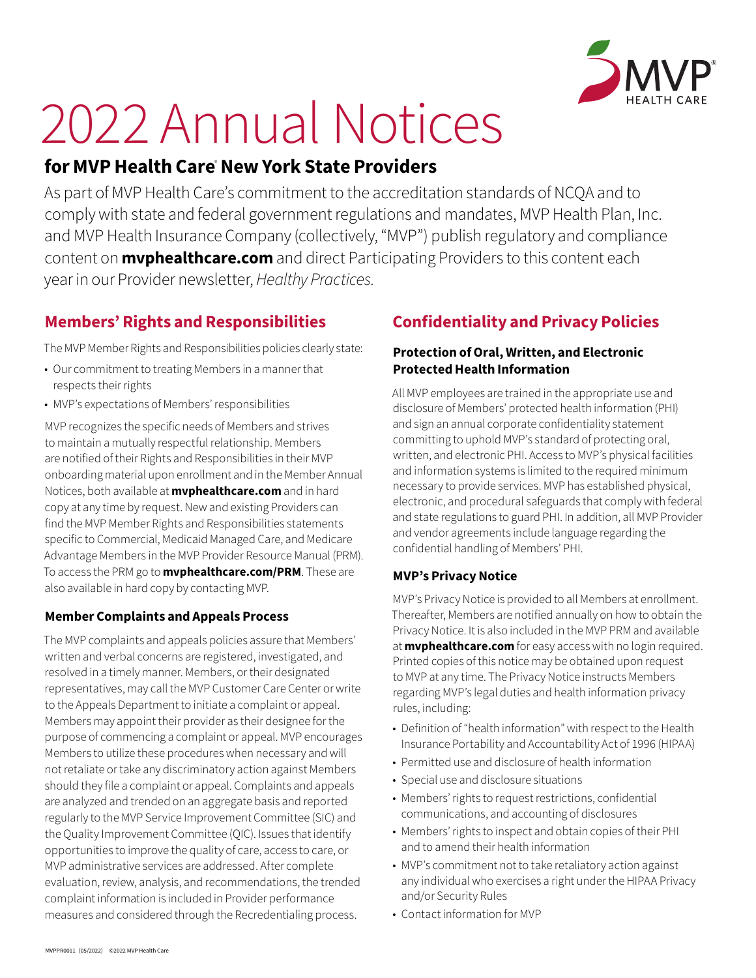

# 2022 Annual Notices

# **for MVP Health Care**®  **New York State Providers**

As part of MVP Health Care's commitment to the accreditation standards of NCQA and to comply with state and federal government regulations and mandates, MVP Health Plan, Inc. and MVP Health Insurance Company (collectively, "MVP") publish regulatory and compliance content on **[mvphealthcare.com](https://www.mvphealthcare.com/)** and direct Participating Providers to this content each year in our Provider newsletter, *Healthy Practices.*

## **Members' Rights and Responsibilities**

The MVP Member Rights and Responsibilities policies clearly state:

- Our commitment to treating Members in a manner that respects their rights
- MVP's expectations of Members' responsibilities

MVP recognizes the specific needs of Members and strives to maintain a mutually respectful relationship. Members are notified of their Rights and Responsibilities in their MVP onboarding material upon enrollment and in the Member Annual Notices, both available at **[mvphealthcare.com](https://www.mvphealthcare.com/)** and in hard copy at any time by request. New and existing Providers can find the MVP Member Rights and Responsibilities statements specific to Commercial, Medicaid Managed Care, and Medicare Advantage Members in the MVP Provider Resource Manual (PRM). To access the PRM go to **[mvphealthcare.com/PRM](https://www.mvphealthcare.com/PRM/)**. These are also available in hard copy by contacting MVP.

#### **Member Complaints and Appeals Process**

The MVP complaints and appeals policies assure that Members' written and verbal concerns are registered, investigated, and resolved in a timely manner. Members, or their designated representatives, may call the MVP Customer Care Center or write to the Appeals Department to initiate a complaint or appeal. Members may appoint their provider as their designee for the purpose of commencing a complaint or appeal. MVP encourages Members to utilize these procedures when necessary and will not retaliate or take any discriminatory action against Members should they file a complaint or appeal. Complaints and appeals are analyzed and trended on an aggregate basis and reported regularly to the MVP Service Improvement Committee (SIC) and the Quality Improvement Committee (QIC). Issues that identify opportunities to improve the quality of care, access to care, or MVP administrative services are addressed. After complete evaluation, review, analysis, and recommendations, the trended complaint information is included in Provider performance measures and considered through the Recredentialing process.

# **Confidentiality and Privacy Policies**

#### **Protection of Oral, Written, and Electronic Protected Health Information**

All MVP employees are trained in the appropriate use and disclosure of Members' protected health information (PHI) and sign an annual corporate confidentiality statement committing to uphold MVP's standard of protecting oral, written, and electronic PHI. Access to MVP's physical facilities and information systems is limited to the required minimum necessary to provide services. MVP has established physical, electronic, and procedural safeguards that comply with federal and state regulations to guard PHI. In addition, all MVP Provider and vendor agreements include language regarding the confidential handling of Members' PHI.

#### **MVP's Privacy Notice**

MVP's Privacy Notice is provided to all Members at enrollment. Thereafter, Members are notified annually on how to obtain the Privacy Notice. It is also included in the MVP PRM and available at **[mvphealthcare.com](https://www.mvphealthcare.com/)** for easy access with no login required. Printed copies of this notice may be obtained upon request to MVP at any time. The Privacy Notice instructs Members regarding MVP's legal duties and health information privacy rules, including:

- Definition of "health information" with respect to the Health Insurance Portability and Accountability Act of 1996 (HIPAA)
- Permitted use and disclosure of health information
- Special use and disclosure situations
- Members' rights to request restrictions, confidential communications, and accounting of disclosures
- Members' rights to inspect and obtain copies of their PHI and to amend their health information
- MVP's commitment not to take retaliatory action against any individual who exercises a right under the HIPAA Privacy and/or Security Rules
- Contact information for MVP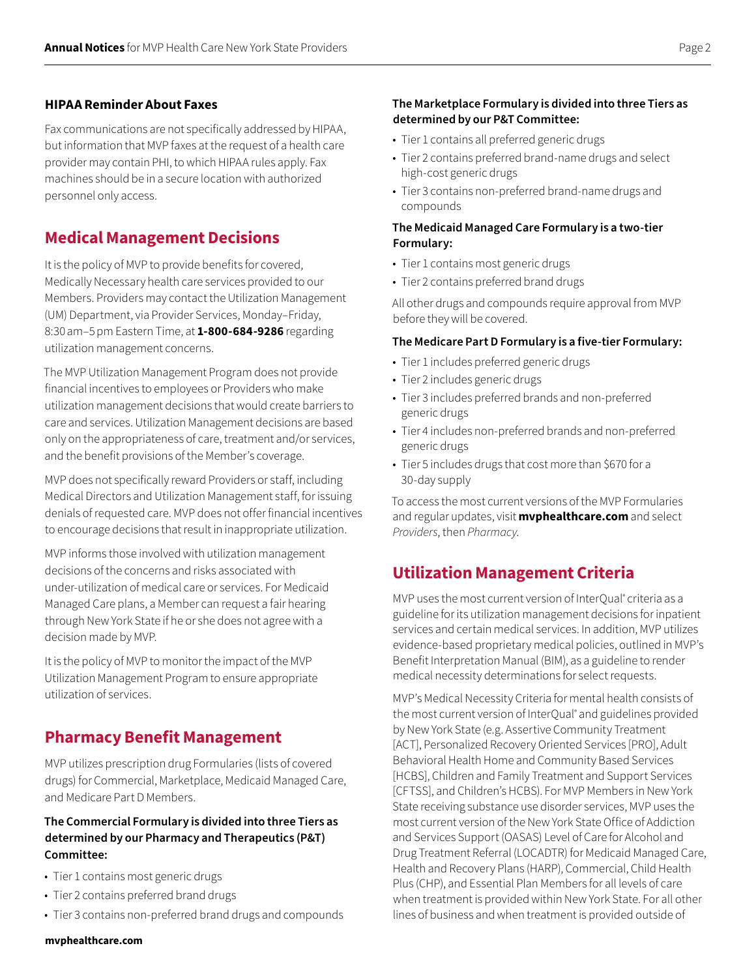#### **HIPAA Reminder About Faxes**

Fax communications are not specifically addressed by HIPAA, but information that MVP faxes at the request of a health care provider may contain PHI, to which HIPAA rules apply. Fax machines should be in a secure location with authorized personnel only access.

## **Medical Management Decisions**

It is the policy of MVP to provide benefits for covered, Medically Necessary health care services provided to our Members. Providers may contact the Utilization Management (UM) Department, via Provider Services, Monday–Friday, 8:30am–5pm Eastern Time, at **1-800-684-9286** regarding utilization management concerns.

The MVP Utilization Management Program does not provide financial incentives to employees or Providers who make utilization management decisions that would create barriers to care and services. Utilization Management decisions are based only on the appropriateness of care, treatment and/or services, and the benefit provisions of the Member's coverage.

MVP does not specifically reward Providers or staff, including Medical Directors and Utilization Management staff, for issuing denials of requested care. MVP does not offer financial incentives to encourage decisions that result in inappropriate utilization.

MVP informs those involved with utilization management decisions of the concerns and risks associated with under‑utilization of medical care or services. For Medicaid Managed Care plans, a Member can request a fair hearing through New York State if he or she does not agree with a decision made by MVP.

It is the policy of MVP to monitor the impact of the MVP Utilization Management Program to ensure appropriate utilization of services.

## **Pharmacy Benefit Management**

MVP utilizes prescription drug Formularies (lists of covered drugs) for Commercial, Marketplace, Medicaid Managed Care, and Medicare Part D Members.

#### **The Commercial Formulary is divided into three Tiers as determined by our Pharmacy and Therapeutics (P&T) Committee:**

- Tier 1 contains most generic drugs
- Tier 2 contains preferred brand drugs
- Tier 3 contains non-preferred brand drugs and compounds

#### **The Marketplace Formulary is divided into three Tiers as determined by our P&T Committee:**

- Tier 1 contains all preferred generic drugs
- Tier 2 contains preferred brand-name drugs and select high‑cost generic drugs
- Tier 3 contains non-preferred brand-name drugs and compounds

#### **The Medicaid Managed Care Formulary is a two-tier Formulary:**

- Tier 1 contains most generic drugs
- Tier 2 contains preferred brand drugs

All other drugs and compounds require approval from MVP before they will be covered.

#### **The Medicare Part D Formulary is a five-tier Formulary:**

- Tier 1 includes preferred generic drugs
- Tier 2 includes generic drugs
- Tier 3 includes preferred brands and non-preferred generic drugs
- Tier 4 includes non-preferred brands and non-preferred generic drugs
- Tier 5 includes drugs that cost more than \$670 for a 30-day supply

To access the most current versions of the MVP Formularies and regular updates, visit **[mvphealthcare.com](https://www.mvphealthcare.com/)** and select *Providers*, then *Pharmacy*.

## **Utilization Management Criteria**

MVP uses the most current version of InterQual<sup>®</sup> criteria as a guideline for its utilization management decisions for inpatient services and certain medical services. In addition, MVP utilizes evidence-based proprietary medical policies, outlined in MVP's Benefit Interpretation Manual (BIM), as a guideline to render medical necessity determinations for select requests.

MVP's Medical Necessity Criteria for mental health consists of the most current version of InterQual® and guidelines provided by New York State (e.g. Assertive Community Treatment [ACT], Personalized Recovery Oriented Services [PRO], Adult Behavioral Health Home and Community Based Services [HCBS], Children and Family Treatment and Support Services [CFTSS], and Children's HCBS). For MVP Members in New York State receiving substance use disorder services, MVP uses the most current version of the New York State Office of Addiction and Services Support (OASAS) Level of Care for Alcohol and Drug Treatment Referral (LOCADTR) for Medicaid Managed Care, Health and Recovery Plans (HARP), Commercial, Child Health Plus (CHP), and Essential Plan Members for all levels of care when treatment is provided within New York State. For all other lines of business and when treatment is provided outside of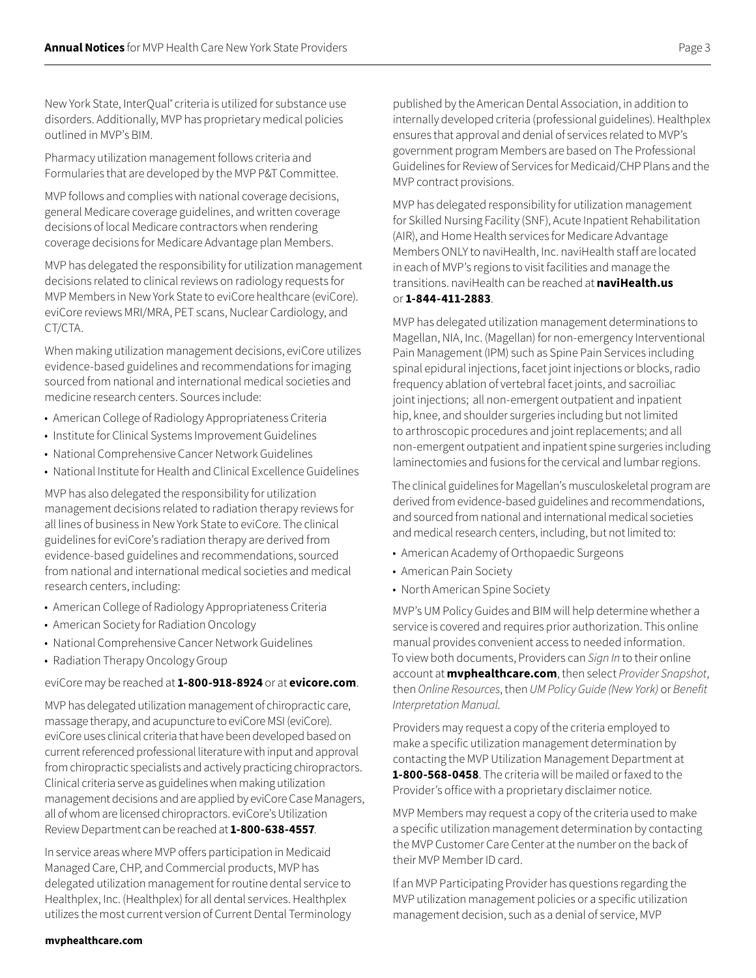New York State, InterQual® criteria is utilized for substance use disorders. Additionally, MVP has proprietary medical policies outlined in MVP's BIM.

Pharmacy utilization management follows criteria and Formularies that are developed by the MVP P&T Committee.

MVP follows and complies with national coverage decisions, general Medicare coverage guidelines, and written coverage decisions of local Medicare contractors when rendering coverage decisions for Medicare Advantage plan Members.

MVP has delegated the responsibility for utilization management decisions related to clinical reviews on radiology requests for MVP Members in New York State to eviCore healthcare (eviCore). eviCore reviews MRI/MRA, PET scans, Nuclear Cardiology, and CT/CTA.

When making utilization management decisions, eviCore utilizes evidence-based guidelines and recommendations for imaging sourced from national and international medical societies and medicine research centers. Sources include:

- American College of Radiology Appropriateness Criteria
- Institute for Clinical Systems Improvement Guidelines
- National Comprehensive Cancer Network Guidelines
- National Institute for Health and Clinical Excellence Guidelines

MVP has also delegated the responsibility for utilization management decisions related to radiation therapy reviews for all lines of business in New York State to eviCore. The clinical guidelines for eviCore's radiation therapy are derived from evidence-based guidelines and recommendations, sourced from national and international medical societies and medical research centers, including:

- American College of Radiology Appropriateness Criteria
- American Society for Radiation Oncology
- National Comprehensive Cancer Network Guidelines
- Radiation Therapy Oncology Group

#### eviCore may be reached at **1-800-918-8924** or at **[evicore.com](https://www.evicore.com/)**.

MVP has delegated utilization management of chiropractic care, massage therapy, and acupuncture to eviCore MSI (eviCore). eviCore uses clinical criteria that have been developed based on current referenced professional literature with input and approval from chiropractic specialists and actively practicing chiropractors. Clinical criteria serve as guidelines when making utilization management decisions and are applied by eviCore Case Managers, all of whom are licensed chiropractors. eviCore's Utilization Review Department can be reached at **1-800-638-4557**.

In service areas where MVP offers participation in Medicaid Managed Care, CHP, and Commercial products, MVP has delegated utilization management for routine dental service to Healthplex, Inc. (Healthplex) for all dental services. Healthplex utilizes the most current version of Current Dental Terminology published by the American Dental Association, in addition to internally developed criteria (professional guidelines). Healthplex ensures that approval and denial of services related to MVP's government program Members are based on The Professional Guidelines for Review of Services for Medicaid/CHP Plans and the MVP contract provisions.

MVP has delegated responsibility for utilization management for Skilled Nursing Facility (SNF), Acute Inpatient Rehabilitation (AIR), and Home Health services for Medicare Advantage Members ONLY to naviHealth, Inc. naviHealth staff are located in each of MVP's regions to visit facilities and manage the transitions. naviHealth can be reached at **[naviHealth.us](https://naviHealth.com)** or **1-844-411-2883**.

MVP has delegated utilization management determinations to Magellan, NIA, Inc. (Magellan) for non-emergency Interventional Pain Management (IPM) such as Spine Pain Services including spinal epidural injections, facet joint injections or blocks, radio frequency ablation of vertebral facet joints, and sacroiliac joint injections; all non-emergent outpatient and inpatient hip, knee, and shoulder surgeries including but not limited to arthroscopic procedures and joint replacements; and all non‑emergent outpatient and inpatient spine surgeries including laminectomies and fusions for the cervical and lumbar regions.

The clinical guidelines for Magellan's musculoskeletal program are derived from evidence-based guidelines and recommendations, and sourced from national and international medical societies and medical research centers, including, but not limited to:

- American Academy of Orthopaedic Surgeons
- American Pain Society
- North American Spine Society

MVP's UM Policy Guides and BIM will help determine whether a service is covered and requires prior authorization. This online manual provides convenient access to needed information. To view both documents, Providers can *Sign In* to their online account at **[mvphealthcare.com](https://www.mvphealthcare.com/)**, then select *Provider Snapshot*, then *Online Resources*, then *UM Policy Guide (New York)* or *Benefit Interpretation Manual*.

Providers may request a copy of the criteria employed to make a specific utilization management determination by contacting the MVP Utilization Management Department at **1-800-568-0458**. The criteria will be mailed or faxed to the Provider's office with a proprietary disclaimer notice.

MVP Members may request a copy of the criteria used to make a specific utilization management determination by contacting the MVP Customer Care Center at the number on the back of their MVP Member ID card.

If an MVP Participating Provider has questions regarding the MVP utilization management policies or a specific utilization management decision, such as a denial of service, MVP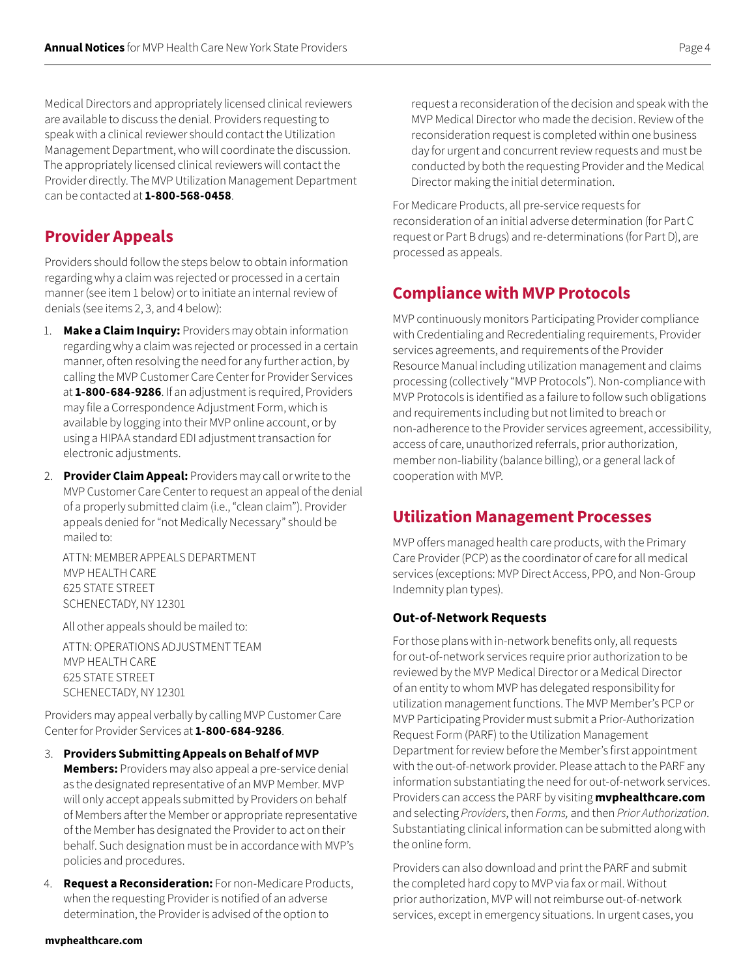Medical Directors and appropriately licensed clinical reviewers are available to discuss the denial. Providers requesting to speak with a clinical reviewer should contact the Utilization Management Department, who will coordinate the discussion. The appropriately licensed clinical reviewers will contact the Provider directly. The MVP Utilization Management Department can be contacted at **1-800-568-0458**.

## **Provider Appeals**

Providers should follow the steps below to obtain information regarding why a claim was rejected or processed in a certain manner (see item 1 below) or to initiate an internal review of denials (see items 2, 3, and 4 below):

- 1. **Make a Claim Inquiry:** Providers may obtain information regarding why a claim was rejected or processed in a certain manner, often resolving the need for any further action, by calling the MVP Customer Care Center for Provider Services at **1-800-684-9286**. If an adjustment is required, Providers may file a Correspondence Adjustment Form, which is available by logging into their MVP online account, or by using a HIPAA standard EDI adjustment transaction for electronic adjustments.
- 2. **Provider Claim Appeal:** Providers may call or write to the MVP Customer Care Center to request an appeal of the denial of a properly submitted claim (i.e., "clean claim"). Provider appeals denied for "not Medically Necessary" should be mailed to:

ATTN: MEMBER APPEALS DEPARTMENT MVP HEALTH CARE 625 STATE STREET SCHENECTADY, NY 12301

All other appeals should be mailed to:

ATTN: OPERATIONS ADJUSTMENT TEAM MVP HEALTH CARE 625 STATE STREET SCHENECTADY, NY 12301

Providers may appeal verbally by calling MVP Customer Care Center for Provider Services at **1-800-684-9286**.

- 3. **Providers Submitting Appeals on Behalf of MVP Members:** Providers may also appeal a pre-service denial as the designated representative of an MVP Member. MVP will only accept appeals submitted by Providers on behalf of Members after the Member or appropriate representative of the Member has designated the Provider to act on their behalf. Such designation must be in accordance with MVP's policies and procedures.
- 4. **Request a Reconsideration:** For non-Medicare Products, when the requesting Provider is notified of an adverse determination, the Provider is advised of the option to

request a reconsideration of the decision and speak with the MVP Medical Director who made the decision. Review of the reconsideration request is completed within one business day for urgent and concurrent review requests and must be conducted by both the requesting Provider and the Medical Director making the initial determination.

For Medicare Products, all pre-service requests for reconsideration of an initial adverse determination (for Part C request or Part B drugs) and re-determinations (for Part D), are processed as appeals.

## **Compliance with MVP Protocols**

MVP continuously monitors Participating Provider compliance with Credentialing and Recredentialing requirements, Provider services agreements, and requirements of the Provider Resource Manual including utilization management and claims processing (collectively "MVP Protocols"). Non-compliance with MVP Protocols is identified as a failure to follow such obligations and requirements including but not limited to breach or non‑adherence to the Provider services agreement, accessibility, access of care, unauthorized referrals, prior authorization, member non-liability (balance billing), or a general lack of cooperation with MVP.

## **Utilization Management Processes**

MVP offers managed health care products, with the Primary Care Provider (PCP) as the coordinator of care for all medical services (exceptions: MVP Direct Access, PPO, and Non-Group Indemnity plan types).

#### **Out-of-Network Requests**

For those plans with in-network benefits only, all requests for out-of-network services require prior authorization to be reviewed by the MVP Medical Director or a Medical Director of an entity to whom MVP has delegated responsibility for utilization management functions. The MVP Member's PCP or MVP Participating Provider must submit a Prior-Authorization Request Form (PARF) to the Utilization Management Department for review before the Member's first appointment with the out-of-network provider. Please attach to the PARF any information substantiating the need for out-of-network services. Providers can access the PARF by visiting **[mvphealthcare.com](https://www.mvphealthcare.com/)** and selecting *Providers*, then *Forms,* and then *Prior Authorization*. Substantiating clinical information can be submitted along with the online form.

Providers can also download and print the PARF and submit the completed hard copy to MVP via fax or mail. Without prior authorization, MVP will not reimburse out-of-network services, except in emergency situations. In urgent cases, you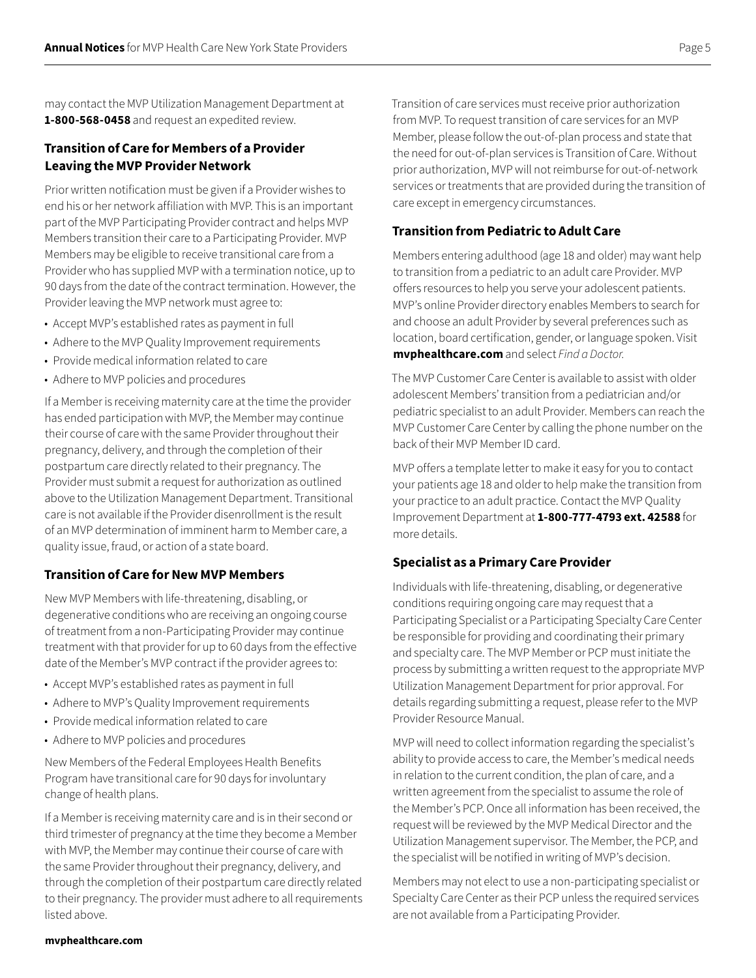may contact the MVP Utilization Management Department at **1-800-568-0458** and request an expedited review.

#### **Transition of Care for Members of a Provider Leaving the MVP Provider Network**

Prior written notification must be given if a Provider wishes to end his or her network affiliation with MVP. This is an important part of the MVP Participating Provider contract and helps MVP Members transition their care to a Participating Provider. MVP Members may be eligible to receive transitional care from a Provider who has supplied MVP with a termination notice, up to 90 days from the date of the contract termination. However, the Provider leaving the MVP network must agree to:

- Accept MVP's established rates as payment in full
- Adhere to the MVP Quality Improvement requirements
- Provide medical information related to care
- Adhere to MVP policies and procedures

If a Member is receiving maternity care at the time the provider has ended participation with MVP, the Member may continue their course of care with the same Provider throughout their pregnancy, delivery, and through the completion of their postpartum care directly related to their pregnancy. The Provider must submit a request for authorization as outlined above to the Utilization Management Department. Transitional care is not available if the Provider disenrollment is the result of an MVP determination of imminent harm to Member care, a quality issue, fraud, or action of a state board.

#### **Transition of Care for New MVP Members**

New MVP Members with life-threatening, disabling, or degenerative conditions who are receiving an ongoing course of treatment from a non-Participating Provider may continue treatment with that provider for up to 60 days from the effective date of the Member's MVP contract if the provider agrees to:

- Accept MVP's established rates as payment in full
- Adhere to MVP's Quality Improvement requirements
- Provide medical information related to care
- Adhere to MVP policies and procedures

New Members of the Federal Employees Health Benefits Program have transitional care for 90 days for involuntary change of health plans.

If a Member is receiving maternity care and is in their second or third trimester of pregnancy at the time they become a Member with MVP, the Member may continue their course of care with the same Provider throughout their pregnancy, delivery, and through the completion of their postpartum care directly related to their pregnancy. The provider must adhere to all requirements listed above.

Transition of care services must receive prior authorization from MVP. To request transition of care services for an MVP Member, please follow the out-of-plan process and state that the need for out-of-plan services is Transition of Care. Without prior authorization, MVP will not reimburse for out-of-network services or treatments that are provided during the transition of care except in emergency circumstances.

#### **Transition from Pediatric to Adult Care**

Members entering adulthood (age 18 and older) may want help to transition from a pediatric to an adult care Provider. MVP offers resources to help you serve your adolescent patients. MVP's online Provider directory enables Members to search for and choose an adult Provider by several preferences such as location, board certification, gender, or language spoken. Visit **[mvphealthcare.com](https://www.mvphealthcare.com/)** and select *Find a Doctor.*

The MVP Customer Care Center is available to assist with older adolescent Members' transition from a pediatrician and/or pediatric specialist to an adult Provider. Members can reach the MVP Customer Care Center by calling the phone number on the back of their MVP Member ID card.

MVP offers a template letter to make it easy for you to contact your patients age 18 and older to help make the transition from your practice to an adult practice. Contact the MVP Quality Improvement Department at **1-800-777-4793 ext. 42588** for more details.

#### **Specialist as a Primary Care Provider**

Individuals with life-threatening, disabling, or degenerative conditions requiring ongoing care may request that a Participating Specialist or a Participating Specialty Care Center be responsible for providing and coordinating their primary and specialty care. The MVP Member or PCP must initiate the process by submitting a written request to the appropriate MVP Utilization Management Department for prior approval. For details regarding submitting a request, please refer to the MVP Provider Resource Manual.

MVP will need to collect information regarding the specialist's ability to provide access to care, the Member's medical needs in relation to the current condition, the plan of care, and a written agreement from the specialist to assume the role of the Member's PCP. Once all information has been received, the request will be reviewed by the MVP Medical Director and the Utilization Management supervisor. The Member, the PCP, and the specialist will be notified in writing of MVP's decision.

Members may not elect to use a non-participating specialist or Specialty Care Center as their PCP unless the required services are not available from a Participating Provider.

#### **[mvphealthcare.com](https://www.mvphealthcare.com/)**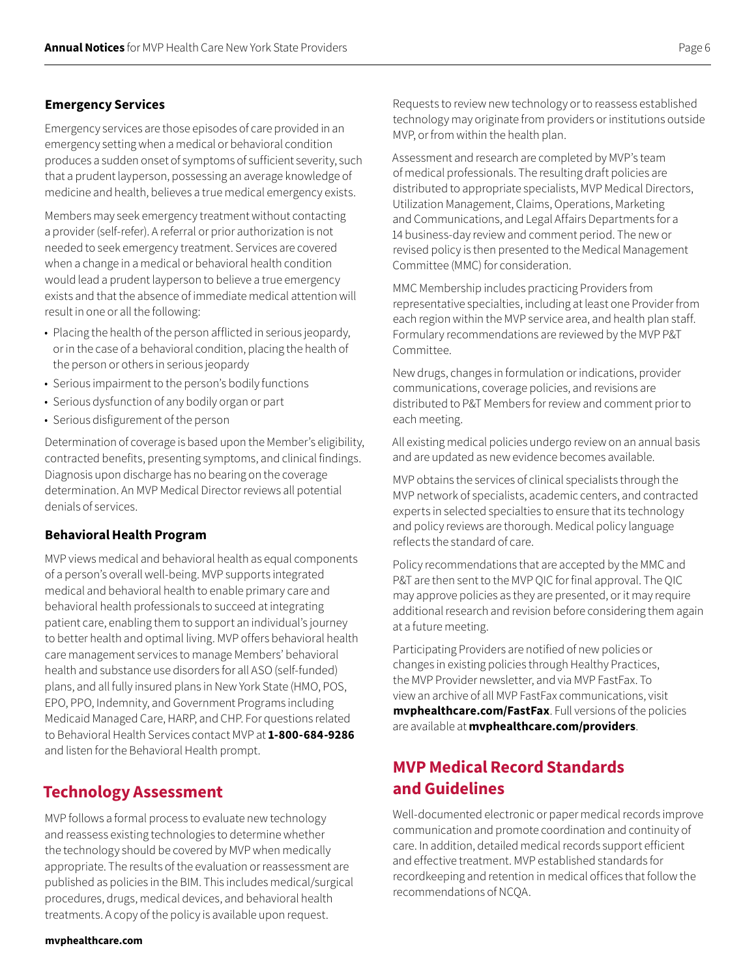#### **Emergency Services**

Emergency services are those episodes of care provided in an emergency setting when a medical or behavioral condition produces a sudden onset of symptoms of sufficient severity, such that a prudent layperson, possessing an average knowledge of medicine and health, believes a true medical emergency exists.

Members may seek emergency treatment without contacting a provider (self-refer). A referral or prior authorization is not needed to seek emergency treatment. Services are covered when a change in a medical or behavioral health condition would lead a prudent layperson to believe a true emergency exists and that the absence of immediate medical attention will result in one or all the following:

- Placing the health of the person afflicted in serious jeopardy, or in the case of a behavioral condition, placing the health of the person or others in serious jeopardy
- Serious impairment to the person's bodily functions
- Serious dysfunction of any bodily organ or part
- Serious disfigurement of the person

Determination of coverage is based upon the Member's eligibility, contracted benefits, presenting symptoms, and clinical findings. Diagnosis upon discharge has no bearing on the coverage determination. An MVP Medical Director reviews all potential denials of services.

#### **Behavioral Health Program**

MVP views medical and behavioral health as equal components of a person's overall well-being. MVP supports integrated medical and behavioral health to enable primary care and behavioral health professionals to succeed at integrating patient care, enabling them to support an individual's journey to better health and optimal living. MVP offers behavioral health care management services to manage Members' behavioral health and substance use disorders for all ASO (self-funded) plans, and all fully insured plans in New York State (HMO, POS, EPO, PPO, Indemnity, and Government Programs including Medicaid Managed Care, HARP, and CHP. For questions related to Behavioral Health Services contact MVP at **1-800-684-9286** and listen for the Behavioral Health prompt.

### **Technology Assessment**

MVP follows a formal process to evaluate new technology and reassess existing technologies to determine whether the technology should be covered by MVP when medically appropriate. The results of the evaluation or reassessment are published as policies in the BIM. This includes medical/surgical procedures, drugs, medical devices, and behavioral health treatments. A copy of the policy is available upon request.

Requests to review new technology or to reassess established technology may originate from providers or institutions outside MVP, or from within the health plan.

Assessment and research are completed by MVP's team of medical professionals. The resulting draft policies are distributed to appropriate specialists, MVP Medical Directors, Utilization Management, Claims, Operations, Marketing and Communications, and Legal Affairs Departments for a 14 business-day review and comment period. The new or revised policy is then presented to the Medical Management Committee (MMC) for consideration.

MMC Membership includes practicing Providers from representative specialties, including at least one Provider from each region within the MVP service area, and health plan staff. Formulary recommendations are reviewed by the MVP P&T Committee.

New drugs, changes in formulation or indications, provider communications, coverage policies, and revisions are distributed to P&T Members for review and comment prior to each meeting.

All existing medical policies undergo review on an annual basis and are updated as new evidence becomes available.

MVP obtains the services of clinical specialists through the MVP network of specialists, academic centers, and contracted experts in selected specialties to ensure that its technology and policy reviews are thorough. Medical policy language reflects the standard of care.

Policy recommendations that are accepted by the MMC and P&T are then sent to the MVP QIC for final approval. The QIC may approve policies as they are presented, or it may require additional research and revision before considering them again at a future meeting.

Participating Providers are notified of new policies or changes in existing policies through Healthy Practices, the MVP Provider newsletter, and via MVP FastFax. To view an archive of all MVP FastFax communications, visit **[mvphealthcare.com/FastFax](https://www.mvphealthcare.com/fastfax/)**. Full versions of the policies are available at **[mvphealthcare.com/providers](https://www.mvphealthcare.com/providers)**.

## **MVP Medical Record Standards and Guidelines**

Well-documented electronic or paper medical records improve communication and promote coordination and continuity of care. In addition, detailed medical records support efficient and effective treatment. MVP established standards for recordkeeping and retention in medical offices that follow the recommendations of NCQA.

**[mvphealthcare.com](https://www.mvphealthcare.com/)**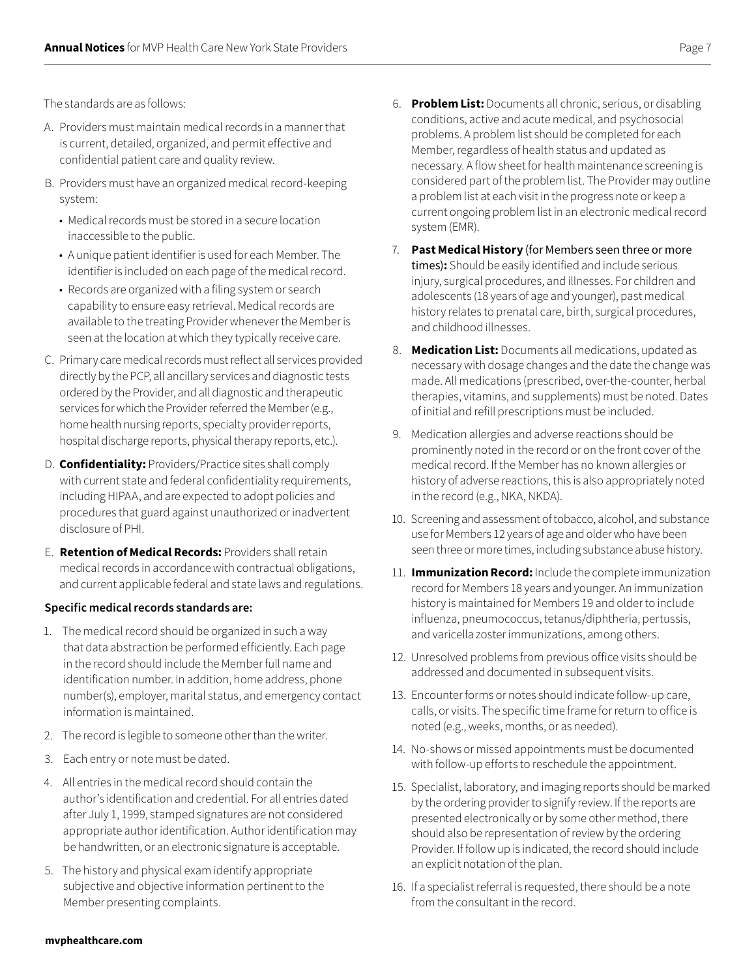The standards are as follows:

- A. Providers must maintain medical records in a manner that is current, detailed, organized, and permit effective and confidential patient care and quality review.
- B. Providers must have an organized medical record-keeping system:
	- Medical records must be stored in a secure location inaccessible to the public.
	- A unique patient identifier is used for each Member. The identifier is included on each page of the medical record.
	- Records are organized with a filing system or search capability to ensure easy retrieval. Medical records are available to the treating Provider whenever the Member is seen at the location at which they typically receive care.
- C. Primary care medical records must reflect all services provided directly by the PCP, all ancillary services and diagnostic tests ordered by the Provider, and all diagnostic and therapeutic services for which the Provider referred the Member (e.g., home health nursing reports, specialty provider reports, hospital discharge reports, physical therapy reports, etc.).
- D. **Confidentiality:** Providers/Practice sites shall comply with current state and federal confidentiality requirements, including HIPAA, and are expected to adopt policies and procedures that guard against unauthorized or inadvertent disclosure of PHI.
- E. **Retention of Medical Records:** Providers shall retain medical records in accordance with contractual obligations, and current applicable federal and state laws and regulations.

#### **Specific medical records standards are:**

- 1. The medical record should be organized in such a way that data abstraction be performed efficiently. Each page in the record should include the Member full name and identification number. In addition, home address, phone number(s), employer, marital status, and emergency contact information is maintained.
- 2. The record is legible to someone other than the writer.
- 3. Each entry or note must be dated.
- 4. All entries in the medical record should contain the author's identification and credential. For all entries dated after July 1, 1999, stamped signatures are not considered appropriate author identification. Author identification may be handwritten, or an electronic signature is acceptable.
- 5. The history and physical exam identify appropriate subjective and objective information pertinent to the Member presenting complaints.
- 6. **Problem List:** Documents all chronic, serious, or disabling conditions, active and acute medical, and psychosocial problems. A problem list should be completed for each Member, regardless of health status and updated as necessary. A flow sheet for health maintenance screening is considered part of the problem list. The Provider may outline a problem list at each visit in the progress note or keep a current ongoing problem list in an electronic medical record system (EMR).
- 7. **Past Medical History** (for Members seen three or more times)**:** Should be easily identified and include serious injury, surgical procedures, and illnesses. For children and adolescents (18 years of age and younger), past medical history relates to prenatal care, birth, surgical procedures, and childhood illnesses.
- 8. **Medication List:** Documents all medications, updated as necessary with dosage changes and the date the change was made. All medications (prescribed, over-the-counter, herbal therapies, vitamins, and supplements) must be noted. Dates of initial and refill prescriptions must be included.
- 9. Medication allergies and adverse reactions should be prominently noted in the record or on the front cover of the medical record. If the Member has no known allergies or history of adverse reactions, this is also appropriately noted in the record (e.g., NKA, NKDA).
- 10. Screening and assessment of tobacco, alcohol, and substance use for Members 12 years of age and older who have been seen three or more times, including substance abuse history.
- 11. **Immunization Record:** Include the complete immunization record for Members 18 years and younger. An immunization history is maintained for Members 19 and older to include influenza, pneumococcus, tetanus/diphtheria, pertussis, and varicella zoster immunizations, among others.
- 12. Unresolved problems from previous office visits should be addressed and documented in subsequent visits.
- 13. Encounter forms or notes should indicate follow-up care, calls, or visits. The specific time frame for return to office is noted (e.g., weeks, months, or as needed).
- 14. No-shows or missed appointments must be documented with follow-up efforts to reschedule the appointment.
- 15. Specialist, laboratory, and imaging reports should be marked by the ordering provider to signify review. If the reports are presented electronically or by some other method, there should also be representation of review by the ordering Provider. If follow up is indicated, the record should include an explicit notation of the plan.
- 16. If a specialist referral is requested, there should be a note from the consultant in the record.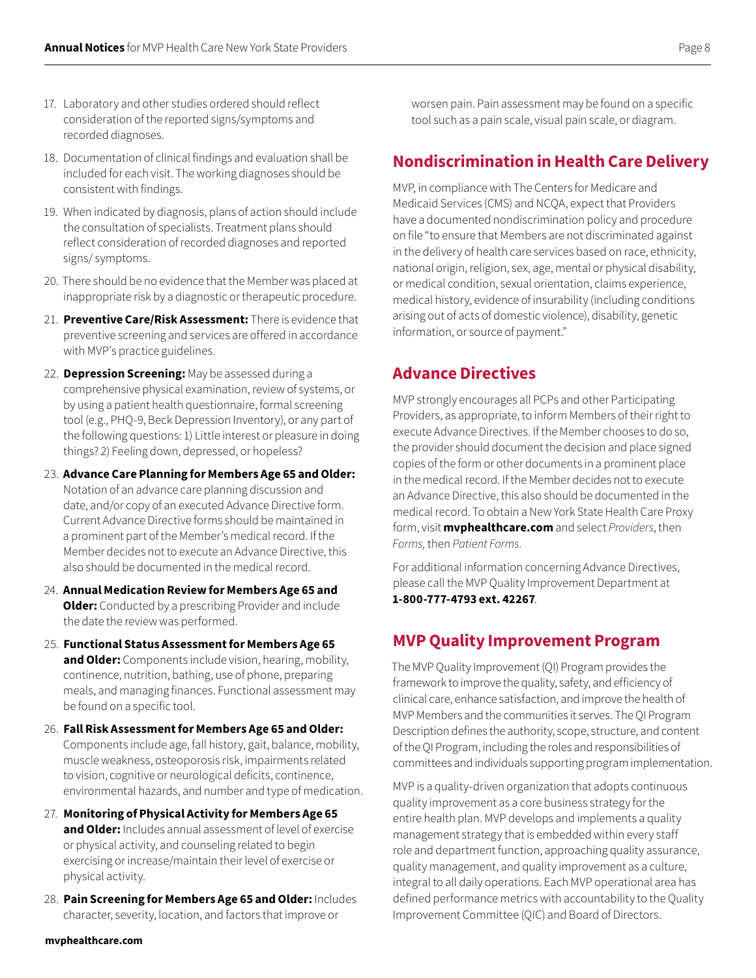- 17. Laboratory and other studies ordered should reflect consideration of the reported signs/symptoms and recorded diagnoses.
- 18. Documentation of clinical findings and evaluation shall be included for each visit. The working diagnoses should be consistent with findings.
- 19. When indicated by diagnosis, plans of action should include the consultation of specialists. Treatment plans should reflect consideration of recorded diagnoses and reported signs/ symptoms.
- 20. There should be no evidence that the Member was placed at inappropriate risk by a diagnostic or therapeutic procedure.
- 21. **Preventive Care/Risk Assessment:** There is evidence that preventive screening and services are offered in accordance with MVP's practice guidelines.
- 22. **Depression Screening:** May be assessed during a comprehensive physical examination, review of systems, or by using a patient health questionnaire, formal screening tool (e.g., PHQ-9, Beck Depression Inventory), or any part of the following questions: 1) Little interest or pleasure in doing things? 2) Feeling down, depressed, or hopeless?
- 23. **Advance Care Planning for Members Age 65 and Older:** Notation of an advance care planning discussion and date, and/or copy of an executed Advance Directive form. Current Advance Directive forms should be maintained in a prominent part of the Member's medical record. If the Member decides not to execute an Advance Directive, this also should be documented in the medical record.
- 24. **Annual Medication Review for Members Age 65 and Older:** Conducted by a prescribing Provider and include the date the review was performed.
- 25. **Functional Status Assessment for Members Age 65 and Older:** Components include vision, hearing, mobility, continence, nutrition, bathing, use of phone, preparing meals, and managing finances. Functional assessment may be found on a specific tool.
- 26. **Fall Risk Assessment for Members Age 65 and Older:**  Components include age, fall history, gait, balance, mobility, muscle weakness, osteoporosis risk, impairments related to vision, cognitive or neurological deficits, continence, environmental hazards, and number and type of medication.
- 27. **Monitoring of Physical Activity for Members Age 65 and Older:** Includes annual assessment of level of exercise or physical activity, and counseling related to begin exercising or increase/maintain their level of exercise or physical activity.
- 28. **Pain Screening for Members Age 65 and Older:** Includes character, severity, location, and factors that improve or

worsen pain. Pain assessment may be found on a specific tool such as a pain scale, visual pain scale, or diagram.

## **Nondiscrimination in Health Care Delivery**

MVP, in compliance with The Centers for Medicare and Medicaid Services (CMS) and NCQA, expect that Providers have a documented nondiscrimination policy and procedure on file "to ensure that Members are not discriminated against in the delivery of health care services based on race, ethnicity, national origin, religion, sex, age, mental or physical disability, or medical condition, sexual orientation, claims experience, medical history, evidence of insurability (including conditions arising out of acts of domestic violence), disability, genetic information, or source of payment."

## **Advance Directives**

MVP strongly encourages all PCPs and other Participating Providers, as appropriate, to inform Members of their right to execute Advance Directives. If the Member chooses to do so, the provider should document the decision and place signed copies of the form or other documents in a prominent place in the medical record. If the Member decides not to execute an Advance Directive, this also should be documented in the medical record. To obtain a New York State Health Care Proxy form, visit **[mvphealthcare.com](https://www.mvphealthcare.com/)** and select *Providers*, then *Forms,* then *Patient Forms.*

For additional information concerning Advance Directives, please call the MVP Quality Improvement Department at **1-800-777-4793 ext. 42267**.

## **MVP Quality Improvement Program**

The MVP Quality Improvement (QI) Program provides the framework to improve the quality, safety, and efficiency of clinical care, enhance satisfaction, and improve the health of MVP Members and the communities it serves. The QI Program Description defines the authority, scope, structure, and content of the QI Program, including the roles and responsibilities of committees and individuals supporting program implementation.

MVP is a quality-driven organization that adopts continuous quality improvement as a core business strategy for the entire health plan. MVP develops and implements a quality management strategy that is embedded within every staff role and department function, approaching quality assurance, quality management, and quality improvement as a culture, integral to all daily operations. Each MVP operational area has defined performance metrics with accountability to the Quality Improvement Committee (QIC) and Board of Directors.

#### **[mvphealthcare.com](https://www.mvphealthcare.com/)**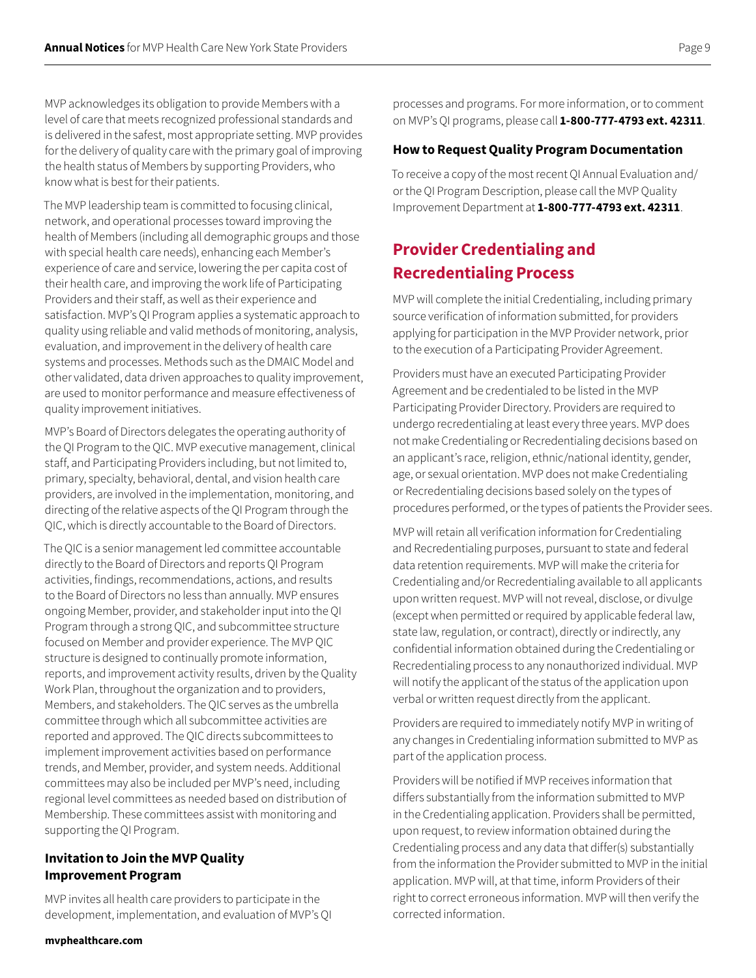MVP acknowledges its obligation to provide Members with a level of care that meets recognized professional standards and is delivered in the safest, most appropriate setting. MVP provides for the delivery of quality care with the primary goal of improving the health status of Members by supporting Providers, who know what is best for their patients.

The MVP leadership team is committed to focusing clinical, network, and operational processes toward improving the health of Members (including all demographic groups and those with special health care needs), enhancing each Member's experience of care and service, lowering the per capita cost of their health care, and improving the work life of Participating Providers and their staff, as well as their experience and satisfaction. MVP's QI Program applies a systematic approach to quality using reliable and valid methods of monitoring, analysis, evaluation, and improvement in the delivery of health care systems and processes. Methods such as the DMAIC Model and other validated, data driven approaches to quality improvement, are used to monitor performance and measure effectiveness of quality improvement initiatives.

MVP's Board of Directors delegates the operating authority of the QI Program to the QIC. MVP executive management, clinical staff, and Participating Providers including, but not limited to, primary, specialty, behavioral, dental, and vision health care providers, are involved in the implementation, monitoring, and directing of the relative aspects of the QI Program through the QIC, which is directly accountable to the Board of Directors.

The QIC is a senior management led committee accountable directly to the Board of Directors and reports QI Program activities, findings, recommendations, actions, and results to the Board of Directors no less than annually. MVP ensures ongoing Member, provider, and stakeholder input into the QI Program through a strong QIC, and subcommittee structure focused on Member and provider experience. The MVP QIC structure is designed to continually promote information, reports, and improvement activity results, driven by the Quality Work Plan, throughout the organization and to providers, Members, and stakeholders. The QIC serves as the umbrella committee through which all subcommittee activities are reported and approved. The QIC directs subcommittees to implement improvement activities based on performance trends, and Member, provider, and system needs. Additional committees may also be included per MVP's need, including regional level committees as needed based on distribution of Membership. These committees assist with monitoring and supporting the QI Program.

#### **Invitation to Join the MVP Quality Improvement Program**

MVP invites all health care providers to participate in the development, implementation, and evaluation of MVP's QI processes and programs. For more information, or to comment on MVP's QI programs, please call **1-800-777-4793 ext. 42311**.

#### **How to Request Quality Program Documentation**

To receive a copy of the most recent QI Annual Evaluation and/ or the QI Program Description, please call the MVP Quality Improvement Department at **1-800-777-4793 ext. 42311**.

# **Provider Credentialing and Recredentialing Process**

MVP will complete the initial Credentialing, including primary source verification of information submitted, for providers applying for participation in the MVP Provider network, prior to the execution of a Participating Provider Agreement.

Providers must have an executed Participating Provider Agreement and be credentialed to be listed in the MVP Participating Provider Directory. Providers are required to undergo recredentialing at least every three years. MVP does not make Credentialing or Recredentialing decisions based on an applicant's race, religion, ethnic/national identity, gender, age, or sexual orientation. MVP does not make Credentialing or Recredentialing decisions based solely on the types of procedures performed, or the types of patients the Provider sees.

MVP will retain all verification information for Credentialing and Recredentialing purposes, pursuant to state and federal data retention requirements. MVP will make the criteria for Credentialing and/or Recredentialing available to all applicants upon written request. MVP will not reveal, disclose, or divulge (except when permitted or required by applicable federal law, state law, regulation, or contract), directly or indirectly, any confidential information obtained during the Credentialing or Recredentialing process to any nonauthorized individual. MVP will notify the applicant of the status of the application upon verbal or written request directly from the applicant.

Providers are required to immediately notify MVP in writing of any changes in Credentialing information submitted to MVP as part of the application process.

Providers will be notified if MVP receives information that differs substantially from the information submitted to MVP in the Credentialing application. Providers shall be permitted, upon request, to review information obtained during the Credentialing process and any data that differ(s) substantially from the information the Provider submitted to MVP in the initial application. MVP will, at that time, inform Providers of their right to correct erroneous information. MVP will then verify the corrected information.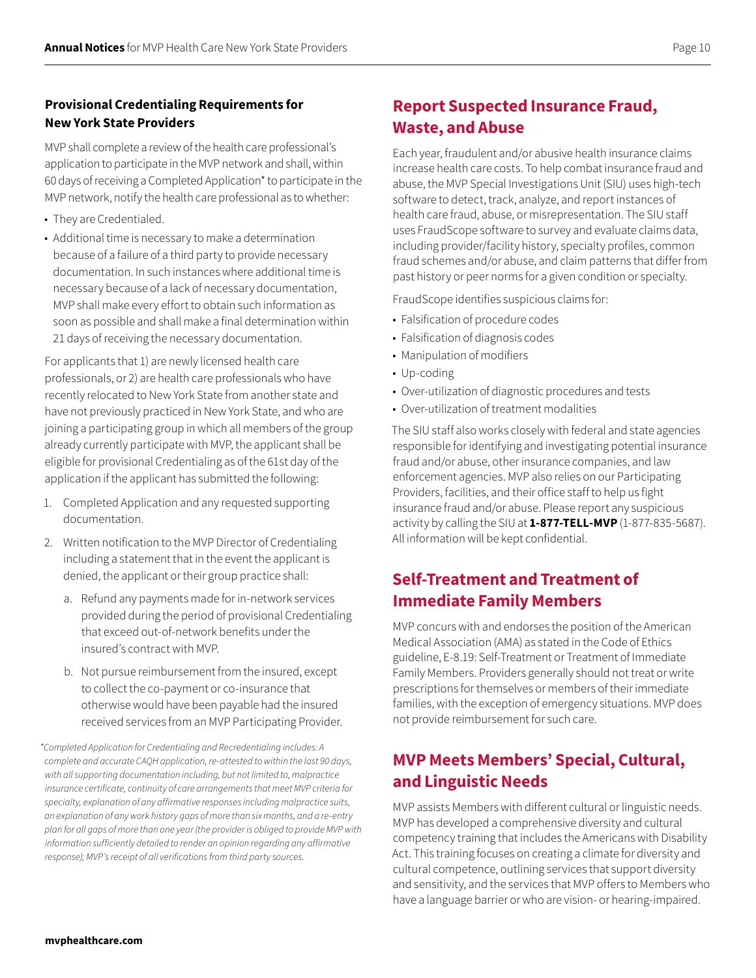#### **Provisional Credentialing Requirements for New York State Providers**

MVP shall complete a review of the health care professional's application to participate in the MVP network and shall, within 60 days of receiving a Completed Application\* to participate in the MVP network, notify the health care professional as to whether:

- They are Credentialed.
- Additional time is necessary to make a determination because of a failure of a third party to provide necessary documentation. In such instances where additional time is necessary because of a lack of necessary documentation, MVP shall make every effort to obtain such information as soon as possible and shall make a final determination within 21 days of receiving the necessary documentation.

For applicants that 1) are newly licensed health care professionals, or 2) are health care professionals who have recently relocated to New York State from another state and have not previously practiced in New York State, and who are joining a participating group in which all members of the group already currently participate with MVP, the applicant shall be eligible for provisional Credentialing as of the 61st day of the application if the applicant has submitted the following:

- 1. Completed Application and any requested supporting documentation.
- 2. Written notification to the MVP Director of Credentialing including a statement that in the event the applicant is denied, the applicant or their group practice shall:
	- a. Refund any payments made for in-network services provided during the period of provisional Credentialing that exceed out-of-network benefits under the insured's contract with MVP.
	- b. Not pursue reimbursement from the insured, except to collect the co-payment or co-insurance that otherwise would have been payable had the insured received services from an MVP Participating Provider.

# **Report Suspected Insurance Fraud, Waste, and Abuse**

Each year, fraudulent and/or abusive health insurance claims increase health care costs. To help combat insurance fraud and abuse, the MVP Special Investigations Unit (SIU) uses high-tech software to detect, track, analyze, and report instances of health care fraud, abuse, or misrepresentation. The SIU staff uses FraudScope software to survey and evaluate claims data, including provider/facility history, specialty profiles, common fraud schemes and/or abuse, and claim patterns that differ from past history or peer norms for a given condition or specialty.

FraudScope identifies suspicious claims for:

- Falsification of procedure codes
- Falsification of diagnosis codes
- Manipulation of modifiers
- Up-coding
- Over-utilization of diagnostic procedures and tests
- Over-utilization of treatment modalities

The SIU staff also works closely with federal and state agencies responsible for identifying and investigating potential insurance fraud and/or abuse, other insurance companies, and law enforcement agencies. MVP also relies on our Participating Providers, facilities, and their office staff to help us fight insurance fraud and/or abuse. Please report any suspicious activity by calling the SIU at **1-877-TELL-MVP** (1-877-835-5687). All information will be kept confidential.

# **Self-Treatment and Treatment of Immediate Family Members**

MVP concurs with and endorses the position of the American Medical Association (AMA) as stated in the Code of Ethics guideline, E-8.19: Self-Treatment or Treatment of Immediate Family Members. Providers generally should not treat or write prescriptions for themselves or members of their immediate families, with the exception of emergency situations. MVP does not provide reimbursement for such care.

# **MVP Meets Members' Special, Cultural, and Linguistic Needs**

MVP assists Members with different cultural or linguistic needs. MVP has developed a comprehensive diversity and cultural competency training that includes the Americans with Disability Act. This training focuses on creating a climate for diversity and cultural competence, outlining services that support diversity and sensitivity, and the services that MVP offers to Members who have a language barrier or who are vision- or hearing-impaired.

*<sup>\*</sup>Completed Application for Credentialing and Recredentialing includes: A complete and accurate CAQH application, re‑attested to within the last 90 days, with all supporting documentation including, but not limited to, malpractice insurance certificate, continuity of care arrangements that meet MVP criteria for specialty, explanation of any affirmative responses including malpractice suits, an explanation of any work history gaps of more than six months, and a re-entry plan for all gaps of more than one year (the provider is obliged to provide MVP with information sufficiently detailed to render an opinion regarding any affirmative response); MVP's receipt of all verifications from third party sources.*